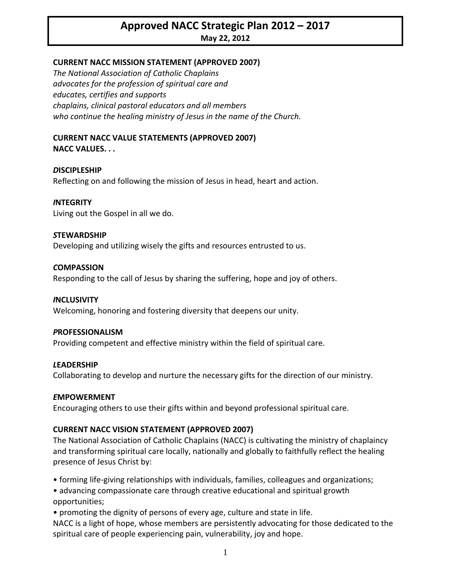# **Approved NACC Strategic Plan 2012 – 2017 May 22, 2012**

# **CURRENT NACC MISSION STATEMENT (APPROVED 2007)**

*The National Association of Catholic Chaplains advocates for the profession of spiritual care and educates, certifies and supports chaplains, clinical pastoral educators and all members who continue the healing ministry of Jesus in the name of the Church.*

#### **CURRENT NACC VALUE STATEMENTS (APPROVED 2007) NACC VALUES. . .**

*D***ISCIPLESHIP**

Reflecting on and following the mission of Jesus in head, heart and action.

## *I***NTEGRITY**

Living out the Gospel in all we do.

## *S***TEWARDSHIP**

Developing and utilizing wisely the gifts and resources entrusted to us.

#### *C***OMPASSION**

Responding to the call of Jesus by sharing the suffering, hope and joy of others.

## *I***NCLUSIVITY**

Welcoming, honoring and fostering diversity that deepens our unity.

#### *P***ROFESSIONALISM**

Providing competent and effective ministry within the field of spiritual care.

## *L***EADERSHIP**

Collaborating to develop and nurture the necessary gifts for the direction of our ministry.

#### *E***MPOWERMENT**

Encouraging others to use their gifts within and beyond professional spiritual care.

## **CURRENT NACC VISION STATEMENT (APPROVED 2007)**

The National Association of Catholic Chaplains (NACC) is cultivating the ministry of chaplaincy and transforming spiritual care locally, nationally and globally to faithfully reflect the healing presence of Jesus Christ by:

• forming life‐giving relationships with individuals, families, colleagues and organizations;

• advancing compassionate care through creative educational and spiritual growth opportunities;

• promoting the dignity of persons of every age, culture and state in life.

NACC is a light of hope, whose members are persistently advocating for those dedicated to the spiritual care of people experiencing pain, vulnerability, joy and hope.